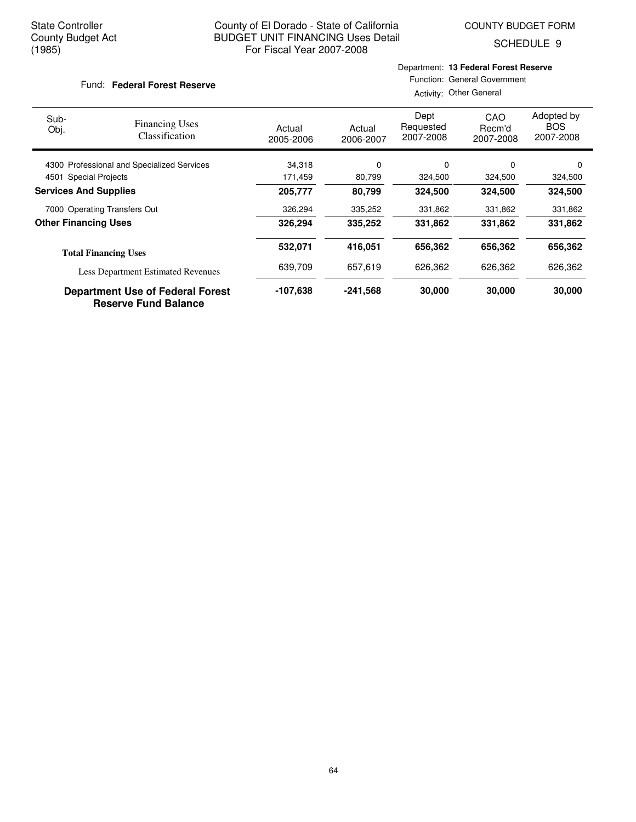SCHEDULE 9

#### Fund: Federal Forest Reserve

### Department: **13 Federal Forest Reserve** Function: General Government

Activity: Other General

| Sub-<br>Obj.                 | <b>Financing Uses</b><br>Classification                                | Actual<br>2005-2006 | Actual<br>2006-2007 | Dept<br>Requested<br>2007-2008 | CAO<br>Recm'd<br>2007-2008 | Adopted by<br><b>BOS</b><br>2007-2008 |
|------------------------------|------------------------------------------------------------------------|---------------------|---------------------|--------------------------------|----------------------------|---------------------------------------|
|                              | 4300 Professional and Specialized Services                             | 34,318              | 0                   | 0                              | $\Omega$                   | 0                                     |
| 4501 Special Projects        |                                                                        | 171,459             | 80,799              | 324,500                        | 324,500                    | 324,500                               |
| <b>Services And Supplies</b> |                                                                        | 205,777             | 80,799              | 324,500                        | 324,500                    | 324,500                               |
|                              | 7000 Operating Transfers Out                                           | 326,294             | 335,252             | 331,862                        | 331,862                    | 331,862                               |
| <b>Other Financing Uses</b>  |                                                                        | 326,294             | 335,252             | 331,862                        | 331,862                    | 331,862                               |
|                              | <b>Total Financing Uses</b>                                            | 532,071             | 416,051             | 656,362                        | 656,362                    | 656,362                               |
|                              | <b>Less Department Estimated Revenues</b>                              | 639,709             | 657.619             | 626.362                        | 626,362                    | 626,362                               |
|                              | <b>Department Use of Federal Forest</b><br><b>Reserve Fund Balance</b> | -107,638            | $-241,568$          | 30,000                         | 30,000                     | 30,000                                |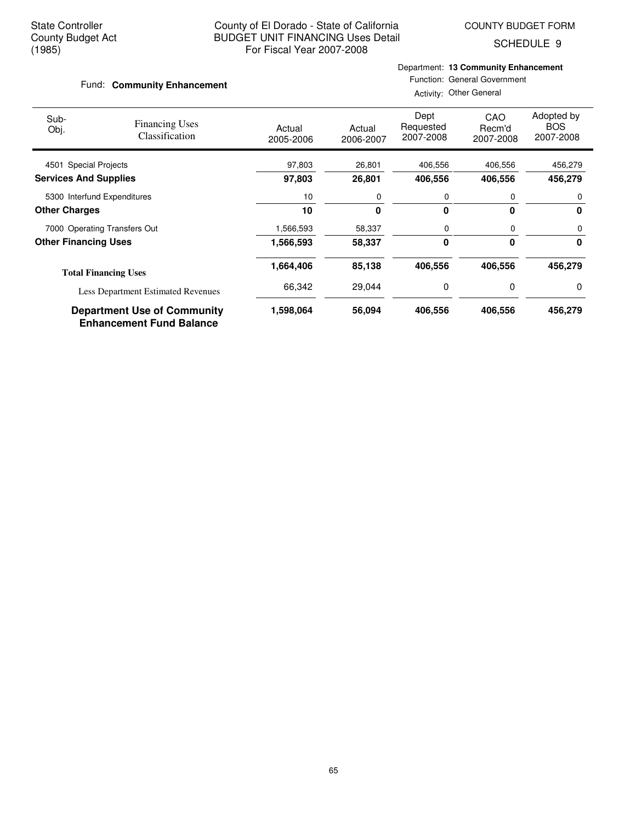SCHEDULE 9

# Fund: **Community Enhancement**

# Department: **13 Community Enhancement**

Function: General Government Activity: Other General

| Sub-<br>Obj.                 | <b>Financing Uses</b><br><b>Classification</b>                        | Actual<br>2005-2006 | Actual<br>2006-2007 | Dept<br>Requested<br>2007-2008 | CAO<br>Recm'd<br>2007-2008 | Adopted by<br><b>BOS</b><br>2007-2008 |
|------------------------------|-----------------------------------------------------------------------|---------------------|---------------------|--------------------------------|----------------------------|---------------------------------------|
| 4501 Special Projects        |                                                                       | 97,803              | 26,801              | 406,556                        | 406,556                    | 456,279                               |
| <b>Services And Supplies</b> |                                                                       | 97,803              | 26,801              | 406,556                        | 406,556                    | 456,279                               |
|                              | 5300 Interfund Expenditures                                           | 10                  | 0                   | 0                              | 0                          | 0                                     |
| <b>Other Charges</b>         |                                                                       | 10                  | 0                   | 0                              | $\mathbf{0}$               | 0                                     |
|                              | 7000 Operating Transfers Out                                          | 1,566,593           | 58,337              | 0                              | 0                          | 0                                     |
| <b>Other Financing Uses</b>  |                                                                       | 1,566,593           | 58,337              | 0                              | $\bf{0}$                   | 0                                     |
|                              | <b>Total Financing Uses</b>                                           | 1,664,406           | 85,138              | 406,556                        | 406,556                    | 456,279                               |
|                              | <b>Less Department Estimated Revenues</b>                             | 66,342              | 29,044              | 0                              | 0                          | 0                                     |
|                              | <b>Department Use of Community</b><br><b>Enhancement Fund Balance</b> | 1,598,064           | 56,094              | 406,556                        | 406,556                    | 456,279                               |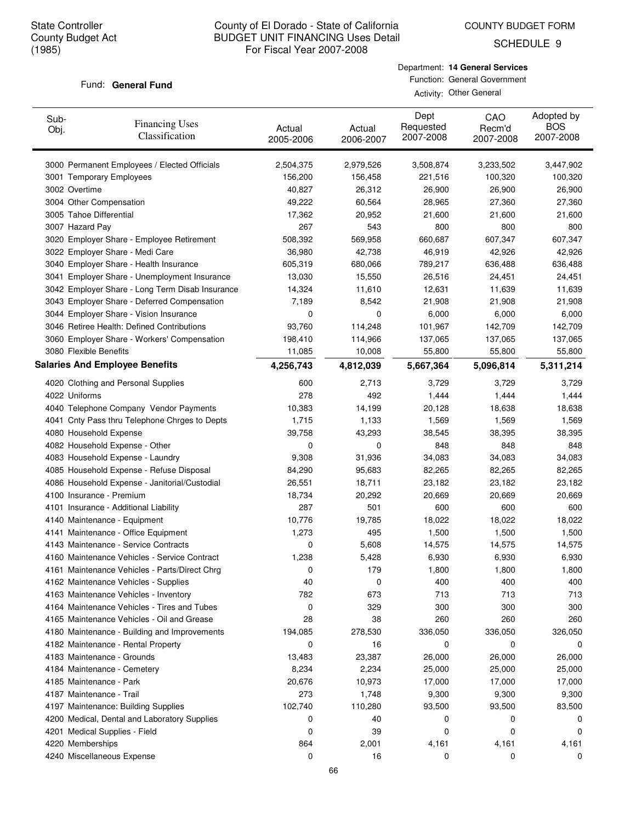SCHEDULE 9

#### Fund: General Fund

## Department: **14 General Services** Function: General Government Activity: Other General

| Sub-<br>Obj. | <b>Financing Uses</b><br>Classification         | Actual<br>2005-2006 | Actual<br>2006-2007 | Dept<br>Requested<br>2007-2008 | CAO<br>Recm'd<br>2007-2008 | Adopted by<br><b>BOS</b><br>2007-2008 |
|--------------|-------------------------------------------------|---------------------|---------------------|--------------------------------|----------------------------|---------------------------------------|
|              | 3000 Permanent Employees / Elected Officials    | 2,504,375           | 2,979,526           | 3,508,874                      | 3,233,502                  | 3,447,902                             |
|              | 3001 Temporary Employees                        | 156,200             | 156,458             | 221,516                        | 100,320                    | 100,320                               |
|              | 3002 Overtime                                   | 40,827              | 26,312              | 26,900                         | 26,900                     | 26,900                                |
|              | 3004 Other Compensation                         | 49,222              | 60,564              | 28,965                         | 27,360                     | 27,360                                |
|              | 3005 Tahoe Differential                         | 17,362              | 20,952              | 21,600                         | 21,600                     | 21,600                                |
|              | 3007 Hazard Pay                                 | 267                 | 543                 | 800                            | 800                        | 800                                   |
|              | 3020 Employer Share - Employee Retirement       | 508,392             | 569,958             | 660,687                        | 607,347                    | 607,347                               |
|              | 3022 Employer Share - Medi Care                 | 36,980              | 42,738              | 46,919                         | 42,926                     | 42,926                                |
|              | 3040 Employer Share - Health Insurance          | 605,319             | 680,066             | 789,217                        | 636,488                    | 636,488                               |
|              | 3041 Employer Share - Unemployment Insurance    | 13,030              | 15,550              | 26,516                         | 24,451                     | 24,451                                |
|              | 3042 Employer Share - Long Term Disab Insurance | 14,324              | 11,610              | 12,631                         | 11,639                     | 11,639                                |
|              | 3043 Employer Share - Deferred Compensation     | 7,189               | 8,542               | 21,908                         | 21,908                     | 21,908                                |
|              | 3044 Employer Share - Vision Insurance          | 0                   | 0                   | 6,000                          | 6,000                      | 6,000                                 |
|              | 3046 Retiree Health: Defined Contributions      | 93,760              | 114,248             | 101,967                        | 142,709                    | 142,709                               |
|              | 3060 Employer Share - Workers' Compensation     | 198,410             | 114,966             | 137,065                        | 137,065                    | 137,065                               |
|              | 3080 Flexible Benefits                          | 11,085              | 10,008              | 55,800                         | 55,800                     | 55,800                                |
|              | <b>Salaries And Employee Benefits</b>           | 4,256,743           | 4,812,039           | 5,667,364                      | 5,096,814                  | 5,311,214                             |
|              | 4020 Clothing and Personal Supplies             | 600                 | 2,713               | 3,729                          | 3,729                      | 3,729                                 |
|              | 4022 Uniforms                                   | 278                 | 492                 | 1,444                          | 1,444                      | 1,444                                 |
|              | 4040 Telephone Company Vendor Payments          | 10,383              | 14,199              | 20,128                         | 18,638                     | 18,638                                |
|              | 4041 Cnty Pass thru Telephone Chrges to Depts   | 1,715               | 1,133               | 1,569                          | 1,569                      | 1,569                                 |
|              | 4080 Household Expense                          | 39,758              | 43,293              | 38,545                         | 38,395                     | 38,395                                |
|              | 4082 Household Expense - Other                  | 0                   | 0                   | 848                            | 848                        | 848                                   |
|              | 4083 Household Expense - Laundry                | 9,308               | 31,936              | 34,083                         | 34,083                     | 34,083                                |
|              | 4085 Household Expense - Refuse Disposal        | 84,290              | 95,683              | 82,265                         | 82,265                     | 82,265                                |
|              | 4086 Household Expense - Janitorial/Custodial   | 26,551              | 18,711              | 23,182                         | 23,182                     | 23,182                                |
|              | 4100 Insurance - Premium                        | 18,734              | 20,292              | 20,669                         | 20,669                     | 20,669                                |
|              | 4101 Insurance - Additional Liability           | 287                 | 501                 | 600                            | 600                        | 600                                   |
|              | 4140 Maintenance - Equipment                    | 10,776              | 19,785              | 18,022                         | 18,022                     | 18,022                                |
|              | 4141 Maintenance - Office Equipment             | 1,273               | 495                 | 1,500                          | 1,500                      | 1,500                                 |
|              | 4143 Maintenance - Service Contracts            | 0                   | 5,608               | 14,575                         | 14,575                     | 14,575                                |
|              | 4160 Maintenance Vehicles - Service Contract    | 1,238               | 5,428               | 6,930                          | 6,930                      | 6,930                                 |
|              | 4161 Maintenance Vehicles - Parts/Direct Chrg   | U                   | 179                 | 1,800                          | 1,800                      | 1,800                                 |
|              | 4162 Maintenance Vehicles - Supplies            | 40                  | 0                   | 400                            | 400                        | 400                                   |
|              | 4163 Maintenance Vehicles - Inventory           | 782                 | 673                 | 713                            | 713                        | 713                                   |
|              | 4164 Maintenance Vehicles - Tires and Tubes     | 0                   | 329                 | 300                            | 300                        | 300                                   |
|              | 4165 Maintenance Vehicles - Oil and Grease      | 28                  | 38                  | 260                            | 260                        | 260                                   |
|              | 4180 Maintenance - Building and Improvements    | 194,085             | 278,530             | 336,050                        | 336,050                    | 326,050                               |
|              | 4182 Maintenance - Rental Property              | 0                   | 16                  | 0                              | 0                          | 0                                     |
|              | 4183 Maintenance - Grounds                      | 13,483              | 23,387              | 26,000                         | 26,000                     | 26,000                                |
|              | 4184 Maintenance - Cemetery                     | 8,234               | 2,234               | 25,000                         | 25,000                     | 25,000                                |
|              | 4185 Maintenance - Park                         | 20,676              | 10,973              | 17,000                         | 17,000                     | 17,000                                |
|              | 4187 Maintenance - Trail                        | 273                 | 1,748               | 9,300                          | 9,300                      | 9,300                                 |
|              | 4197 Maintenance: Building Supplies             | 102,740             | 110,280             | 93,500                         | 93,500                     | 83,500                                |
|              | 4200 Medical, Dental and Laboratory Supplies    | 0                   | 40                  | 0                              | 0                          | 0                                     |
|              | 4201 Medical Supplies - Field                   | 0                   | 39                  | 0                              | 0                          | 0                                     |
|              | 4220 Memberships                                | 864                 | 2,001               | 4,161                          | 4,161                      | 4,161                                 |
|              | 4240 Miscellaneous Expense                      | 0                   | 16                  | 0                              | 0                          | 0                                     |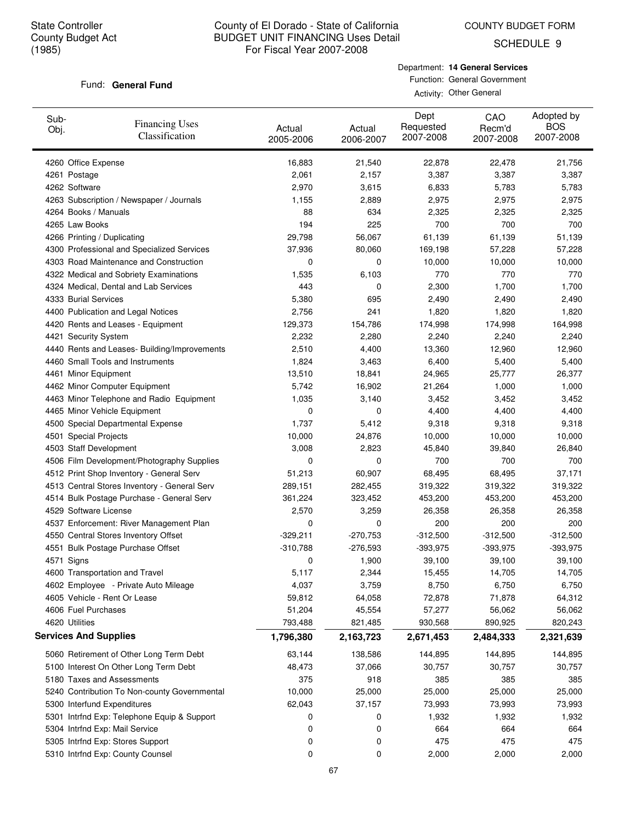SCHEDULE 9

#### Fund: General Fund

Department: **14 General Services** Function: General Government Activity: Other General

| Sub-<br>Obj. | <b>Financing Uses</b><br>Classification      | Actual<br>2005-2006 | Actual<br>2006-2007 | Dept<br>Requested<br>2007-2008 | CAO<br>Recm'd<br>2007-2008 | Adopted by<br><b>BOS</b><br>2007-2008 |
|--------------|----------------------------------------------|---------------------|---------------------|--------------------------------|----------------------------|---------------------------------------|
|              | 4260 Office Expense                          | 16,883              | 21,540              | 22,878                         | 22,478                     | 21,756                                |
|              | 4261 Postage                                 | 2,061               | 2,157               | 3,387                          | 3,387                      | 3,387                                 |
|              | 4262 Software                                | 2,970               | 3,615               | 6,833                          | 5,783                      | 5,783                                 |
|              | 4263 Subscription / Newspaper / Journals     | 1,155               | 2,889               | 2,975                          | 2,975                      | 2,975                                 |
|              | 4264 Books / Manuals                         | 88                  | 634                 | 2,325                          | 2,325                      | 2,325                                 |
|              | 4265 Law Books                               | 194                 | 225                 | 700                            | 700                        | 700                                   |
|              | 4266 Printing / Duplicating                  | 29,798              | 56,067              | 61,139                         | 61,139                     | 51,139                                |
|              | 4300 Professional and Specialized Services   | 37,936              | 80,060              | 169,198                        | 57,228                     | 57,228                                |
|              | 4303 Road Maintenance and Construction       | 0                   | 0                   | 10,000                         | 10,000                     | 10,000                                |
|              | 4322 Medical and Sobriety Examinations       | 1,535               | 6,103               | 770                            | 770                        | 770                                   |
|              | 4324 Medical, Dental and Lab Services        | 443                 | 0                   | 2,300                          | 1,700                      | 1,700                                 |
|              | 4333 Burial Services                         | 5,380               | 695                 | 2,490                          | 2,490                      | 2,490                                 |
|              | 4400 Publication and Legal Notices           | 2,756               | 241                 | 1,820                          | 1,820                      | 1,820                                 |
|              | 4420 Rents and Leases - Equipment            | 129,373             | 154,786             | 174,998                        | 174,998                    | 164,998                               |
|              | 4421 Security System                         | 2,232               | 2,280               | 2,240                          | 2,240                      | 2,240                                 |
|              | 4440 Rents and Leases- Building/Improvements | 2,510               | 4,400               | 13,360                         | 12,960                     | 12,960                                |
|              | 4460 Small Tools and Instruments             | 1,824               | 3,463               | 6,400                          | 5,400                      | 5,400                                 |
|              | 4461 Minor Equipment                         | 13,510              | 18,841              | 24,965                         | 25,777                     | 26,377                                |
|              | 4462 Minor Computer Equipment                | 5,742               | 16,902              | 21,264                         | 1,000                      | 1,000                                 |
|              | 4463 Minor Telephone and Radio Equipment     | 1,035               | 3,140               | 3,452                          | 3,452                      | 3,452                                 |
|              | 4465 Minor Vehicle Equipment                 | 0                   | 0                   | 4,400                          | 4,400                      | 4,400                                 |
|              | 4500 Special Departmental Expense            | 1,737               | 5,412               | 9,318                          | 9,318                      | 9,318                                 |
|              | 4501 Special Projects                        | 10,000              | 24,876              | 10,000                         | 10,000                     | 10,000                                |
|              | 4503 Staff Development                       | 3,008               | 2,823               | 45,840                         | 39,840                     | 26,840                                |
|              | 4506 Film Development/Photography Supplies   | 0                   | 0                   | 700                            | 700                        | 700                                   |
|              | 4512 Print Shop Inventory - General Serv     | 51,213              | 60,907              | 68,495                         | 68,495                     | 37,171                                |
|              | 4513 Central Stores Inventory - General Serv | 289,151             | 282,455             | 319,322                        | 319,322                    | 319,322                               |
|              | 4514 Bulk Postage Purchase - General Serv    | 361,224             | 323,452             | 453,200                        | 453,200                    | 453,200                               |
|              | 4529 Software License                        | 2,570               | 3,259               | 26,358                         | 26,358                     | 26,358                                |
|              | 4537 Enforcement: River Management Plan      | 0                   | 0                   | 200                            | 200                        | 200                                   |
|              | 4550 Central Stores Inventory Offset         | $-329,211$          | $-270,753$          | $-312,500$                     | $-312,500$                 | $-312,500$                            |
|              | 4551 Bulk Postage Purchase Offset            | $-310,788$          | $-276,593$          | $-393,975$                     | $-393,975$                 | $-393,975$                            |
| 4571 Signs   |                                              | 0                   | 1,900               | 39,100                         | 39,100                     | 39,100                                |
|              | 4600 Transportation and Travel               | 5,117               | 2,344               | 15,455                         | 14,705                     | 14,705                                |
|              | 4602 Employee - Private Auto Mileage         | 4,037               | 3,759               | 8,750                          | 6,750                      | 6,750                                 |
|              | 4605 Vehicle - Rent Or Lease                 | 59,812              | 64,058              | 72,878                         | 71,878                     | 64,312                                |
|              | 4606 Fuel Purchases                          | 51,204              | 45,554              | 57,277                         | 56,062                     | 56,062                                |
|              | 4620 Utilities                               | 793,488             | 821,485             | 930,568                        | 890,925                    | 820,243                               |
|              | <b>Services And Supplies</b>                 | 1,796,380           | 2,163,723           | 2,671,453                      | 2,484,333                  | 2,321,639                             |
|              | 5060 Retirement of Other Long Term Debt      | 63,144              | 138,586             | 144,895                        | 144,895                    | 144,895                               |
|              | 5100 Interest On Other Long Term Debt        | 48,473              | 37,066              | 30,757                         | 30,757                     | 30,757                                |
|              | 5180 Taxes and Assessments                   | 375                 | 918                 | 385                            | 385                        | 385                                   |
|              | 5240 Contribution To Non-county Governmental | 10,000              | 25,000              | 25,000                         | 25,000                     | 25,000                                |
|              | 5300 Interfund Expenditures                  | 62,043              | 37,157              | 73,993                         | 73,993                     | 73,993                                |
|              | 5301 Intrfnd Exp: Telephone Equip & Support  | 0                   | 0                   | 1,932                          | 1,932                      | 1,932                                 |
|              | 5304 Intrfnd Exp: Mail Service               | 0                   | 0                   | 664                            | 664                        | 664                                   |
|              | 5305 Intrfnd Exp: Stores Support             | 0                   | 0                   | 475                            | 475                        | 475                                   |
|              | 5310 Intrfnd Exp: County Counsel             | 0                   | 0                   | 2,000                          | 2,000                      | 2,000                                 |
|              |                                              |                     |                     |                                |                            |                                       |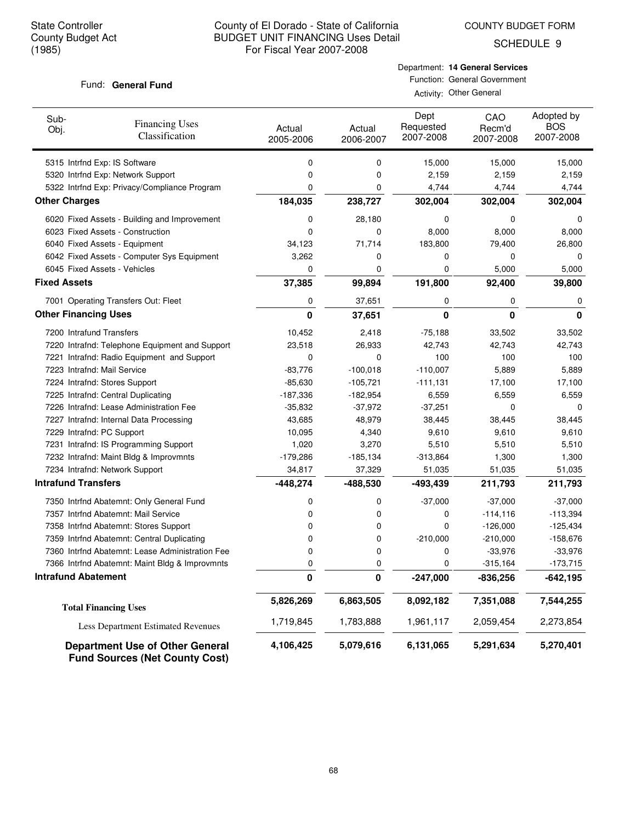COUNTY BUDGET FORM

SCHEDULE 9

#### Fund: General Fund

## Department: **14 General Services** Function: General Government Activity: Other General

| Sub-<br>Obj.                | <b>Financing Uses</b><br>Classification                                         | Actual<br>2005-2006 | Actual<br>2006-2007 | Dept<br>Requested<br>2007-2008 | CAO<br>Recm'd<br>2007-2008 | Adopted by<br><b>BOS</b><br>2007-2008 |
|-----------------------------|---------------------------------------------------------------------------------|---------------------|---------------------|--------------------------------|----------------------------|---------------------------------------|
|                             | 5315 Intrfnd Exp: IS Software                                                   | 0                   | 0                   | 15,000                         | 15,000                     | 15,000                                |
|                             | 5320 Intrfnd Exp: Network Support                                               | 0                   | 0                   | 2,159                          | 2,159                      | 2,159                                 |
|                             | 5322 Intrfnd Exp: Privacy/Compliance Program                                    | 0                   | 0                   | 4,744                          | 4,744                      | 4,744                                 |
| <b>Other Charges</b>        |                                                                                 | 184,035             | 238,727             | 302,004                        | 302,004                    | 302,004                               |
|                             | 6020 Fixed Assets - Building and Improvement                                    | 0                   | 28,180              | 0                              | 0                          | 0                                     |
|                             | 6023 Fixed Assets - Construction                                                | 0                   | 0                   | 8,000                          | 8,000                      | 8,000                                 |
|                             | 6040 Fixed Assets - Equipment                                                   | 34,123              | 71,714              | 183,800                        | 79,400                     | 26,800                                |
|                             | 6042 Fixed Assets - Computer Sys Equipment                                      | 3,262               | 0                   | 0                              | 0                          | 0                                     |
|                             | 6045 Fixed Assets - Vehicles                                                    | 0                   | 0                   | 0                              | 5,000                      | 5,000                                 |
| <b>Fixed Assets</b>         |                                                                                 | 37,385              | 99,894              | 191,800                        | 92,400                     | 39,800                                |
|                             | 7001 Operating Transfers Out: Fleet                                             | 0                   | 37,651              | 0                              | 0                          | 0                                     |
| <b>Other Financing Uses</b> |                                                                                 | 0                   | 37,651              | 0                              | 0                          | 0                                     |
| 7200 Intrafund Transfers    |                                                                                 | 10,452              | 2,418               | $-75,188$                      | 33,502                     | 33,502                                |
|                             | 7220 Intrafnd: Telephone Equipment and Support                                  | 23,518              | 26,933              | 42,743                         | 42,743                     | 42,743                                |
|                             | 7221 Intrafnd: Radio Equipment and Support                                      | 0                   | 0                   | 100                            | 100                        | 100                                   |
| 7223 Intrafnd: Mail Service |                                                                                 | $-83,776$           | $-100,018$          | $-110,007$                     | 5,889                      | 5,889                                 |
|                             | 7224 Intrafnd: Stores Support                                                   | $-85,630$           | $-105,721$          | $-111,131$                     | 17,100                     | 17,100                                |
|                             | 7225 Intrafnd: Central Duplicating                                              | $-187,336$          | $-182,954$          | 6,559                          | 6,559                      | 6,559                                 |
|                             | 7226 Intrafnd: Lease Administration Fee                                         | $-35,832$           | $-37,972$           | $-37,251$                      | $\mathbf 0$                | 0                                     |
|                             | 7227 Intrafnd: Internal Data Processing                                         | 43,685              | 48,979              | 38,445                         | 38,445                     | 38,445                                |
| 7229 Intrafnd: PC Support   |                                                                                 | 10,095              | 4,340               | 9,610                          | 9,610                      | 9,610                                 |
|                             | 7231 Intrafnd: IS Programming Support                                           | 1,020               | 3,270               | 5,510                          | 5,510                      | 5,510                                 |
|                             | 7232 Intrafnd: Maint Bldg & Improvmnts                                          | $-179,286$          | $-185,134$          | $-313,864$                     | 1,300                      | 1,300                                 |
|                             | 7234 Intrafnd: Network Support                                                  | 34,817              | 37,329              | 51,035                         | 51,035                     | 51,035                                |
| <b>Intrafund Transfers</b>  |                                                                                 | $-448,274$          | $-488,530$          | $-493,439$                     | 211,793                    | 211,793                               |
|                             | 7350 Intrfnd Abatemnt: Only General Fund                                        | 0                   | 0                   | $-37,000$                      | $-37,000$                  | $-37,000$                             |
|                             | 7357 Intrfnd Abatemnt: Mail Service                                             | 0                   | 0                   | 0                              | $-114,116$                 | $-113,394$                            |
|                             | 7358 Intrfnd Abatemnt: Stores Support                                           | 0                   | 0                   | 0                              | $-126,000$                 | $-125,434$                            |
|                             | 7359 Intrfnd Abatemnt: Central Duplicating                                      | 0                   | 0                   | $-210,000$                     | $-210,000$                 | $-158,676$                            |
|                             | 7360 Intrfnd Abatemnt: Lease Administration Fee                                 | 0                   | 0                   | 0                              | $-33,976$                  | $-33,976$                             |
|                             | 7366 Intrfnd Abatemnt: Maint Bldg & Improvmnts                                  | 0                   | 0                   | 0                              | $-315,164$                 | $-173,715$                            |
| <b>Intrafund Abatement</b>  |                                                                                 | 0                   | 0                   | $-247,000$                     | -836,256                   | $-642,195$                            |
|                             | <b>Total Financing Uses</b>                                                     | 5,826,269           | 6,863,505           | 8,092,182                      | 7,351,088                  | 7,544,255                             |
|                             | Less Department Estimated Revenues                                              | 1,719,845           | 1,783,888           | 1,961,117                      | 2,059,454                  | 2,273,854                             |
|                             | <b>Department Use of Other General</b><br><b>Fund Sources (Net County Cost)</b> | 4,106,425           | 5,079,616           | 6,131,065                      | 5,291,634                  | 5,270,401                             |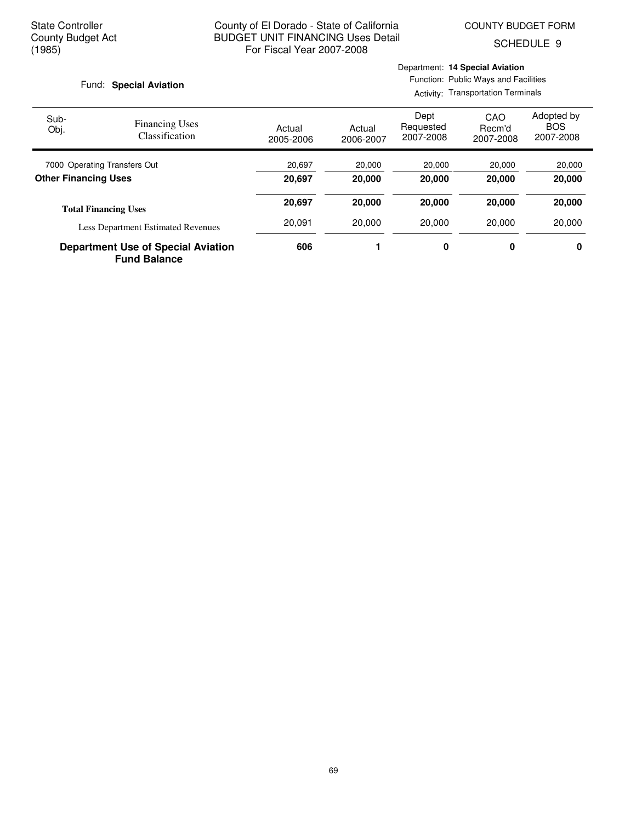SCHEDULE 9

#### Fund: Special Aviation

Activity: Transportation Terminals

| Sub-<br>Obj.                 | <b>Financing Uses</b><br><b>Classification</b>                   | Actual<br>2005-2006 | Actual<br>2006-2007 | Dept<br>Requested<br>2007-2008 | CAO<br>Recm'd<br>2007-2008 | Adopted by<br><b>BOS</b><br>2007-2008 |
|------------------------------|------------------------------------------------------------------|---------------------|---------------------|--------------------------------|----------------------------|---------------------------------------|
| 7000 Operating Transfers Out |                                                                  | 20,697              | 20,000              | 20,000                         | 20,000                     | 20,000                                |
| <b>Other Financing Uses</b>  |                                                                  | 20.697              | 20,000              | 20,000                         | 20,000                     | 20,000                                |
|                              | <b>Total Financing Uses</b>                                      | 20.697              | 20,000              | 20,000                         | 20,000                     | 20,000                                |
|                              | <b>Less Department Estimated Revenues</b>                        | 20,091              | 20,000              | 20,000                         | 20,000                     | 20,000                                |
|                              | <b>Department Use of Special Aviation</b><br><b>Fund Balance</b> | 606                 |                     | 0                              | 0                          | 0                                     |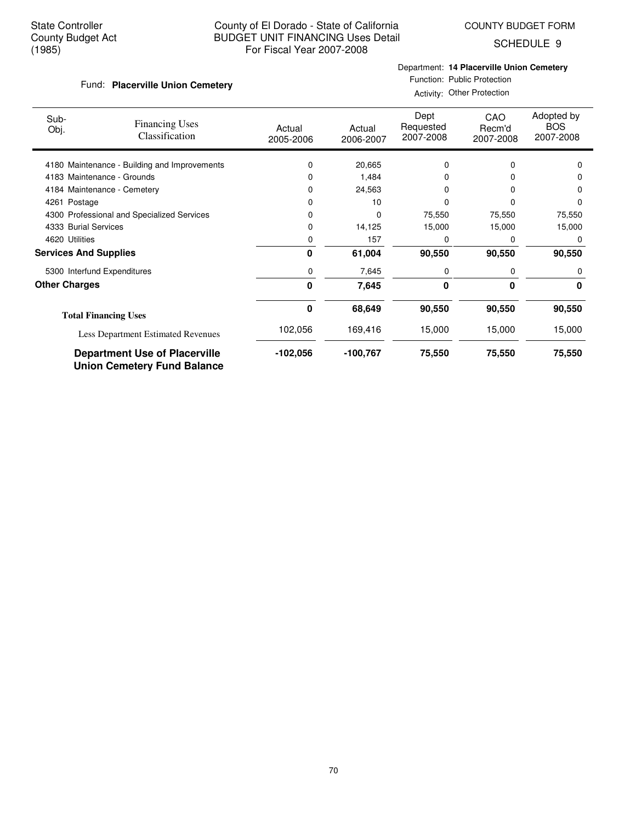COUNTY BUDGET FORM

SCHEDULE 9

## Fund: Placerville Union Cemetery

Department: **14 Placerville Union Cemetery**

Function: Public Protection Activity: Other Protection

| Sub-<br>Obj.                 | <b>Financing Uses</b><br>Classification                                    | Actual<br>2005-2006 | Actual<br>2006-2007 | Dept<br>Requested<br>2007-2008 | CAO<br>Recm'd<br>2007-2008 | Adopted by<br><b>BOS</b><br>2007-2008 |
|------------------------------|----------------------------------------------------------------------------|---------------------|---------------------|--------------------------------|----------------------------|---------------------------------------|
|                              | 4180 Maintenance - Building and Improvements                               | 0                   | 20,665              | 0                              | 0                          |                                       |
|                              | 4183 Maintenance - Grounds                                                 | o                   | 1,484               | 0                              |                            |                                       |
|                              | 4184 Maintenance - Cemetery                                                | 0                   | 24,563              |                                |                            | O                                     |
| 4261 Postage                 |                                                                            | 0                   | 10                  | 0                              | O                          | O                                     |
|                              | 4300 Professional and Specialized Services                                 | 0                   | 0                   | 75,550                         | 75,550                     | 75,550                                |
| 4333 Burial Services         |                                                                            | 0                   | 14,125              | 15,000                         | 15,000                     | 15,000                                |
| 4620 Utilities               |                                                                            | 0                   | 157                 | 0                              | 0                          | 0                                     |
| <b>Services And Supplies</b> |                                                                            | 0                   | 61,004              | 90,550                         | 90,550                     | 90,550                                |
|                              | 5300 Interfund Expenditures                                                | 0                   | 7,645               | 0                              | 0                          | $\Omega$                              |
| <b>Other Charges</b>         |                                                                            | 0                   | 7,645               | 0                              | 0                          | 0                                     |
|                              | <b>Total Financing Uses</b>                                                | 0                   | 68,649              | 90,550                         | 90,550                     | 90,550                                |
|                              | <b>Less Department Estimated Revenues</b>                                  | 102,056             | 169,416             | 15,000                         | 15,000                     | 15,000                                |
|                              | <b>Department Use of Placerville</b><br><b>Union Cemetery Fund Balance</b> | -102,056            | $-100,767$          | 75,550                         | 75,550                     | 75,550                                |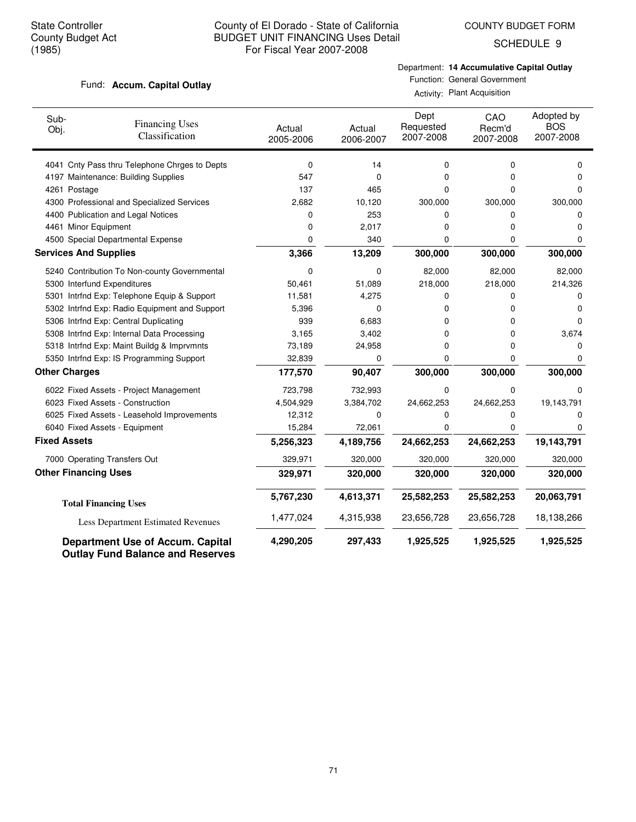COUNTY BUDGET FORM

SCHEDULE 9

#### Fund: Accum. Capital Outlay

Department: **14 Accumulative Capital Outlay** Function: General Government

Activity: Plant Acquisition

| Sub-<br>Obj.        | <b>Financing Uses</b><br>Classification       | Actual<br>2005-2006 | Actual<br>2006-2007 | Dept<br>Requested<br>2007-2008 | CAO<br>Recm'd<br>2007-2008 | Adopted by<br><b>BOS</b><br>2007-2008 |
|---------------------|-----------------------------------------------|---------------------|---------------------|--------------------------------|----------------------------|---------------------------------------|
|                     | 4041 Cnty Pass thru Telephone Chrges to Depts | 0                   | 14                  | 0                              | 0                          | 0                                     |
|                     | 4197 Maintenance: Building Supplies           | 547                 | $\Omega$            | 0                              | 0                          | O                                     |
|                     | 4261 Postage                                  | 137                 | 465                 | 0                              | 0                          | $\Omega$                              |
|                     | 4300 Professional and Specialized Services    | 2,682               | 10,120              | 300,000                        | 300,000                    | 300,000                               |
|                     | 4400 Publication and Legal Notices            | 0                   | 253                 | 0                              | 0                          | 0                                     |
|                     | 4461 Minor Equipment                          | 0                   | 2,017               | 0                              | 0                          | O                                     |
|                     | 4500 Special Departmental Expense             | 0                   | 340                 | 0                              | 0                          | 0                                     |
|                     | <b>Services And Supplies</b>                  | 3,366               | 13,209              | 300,000                        | 300,000                    | 300,000                               |
|                     | 5240 Contribution To Non-county Governmental  | 0                   | 0                   | 82,000                         | 82,000                     | 82,000                                |
|                     | 5300 Interfund Expenditures                   | 50,461              | 51,089              | 218,000                        | 218,000                    | 214,326                               |
|                     | 5301 Intrfnd Exp: Telephone Equip & Support   | 11,581              | 4,275               | 0                              | 0                          | O                                     |
|                     | 5302 Intrfnd Exp: Radio Equipment and Support | 5,396               | 0                   | 0                              | 0                          | O                                     |
|                     | 5306 Intrfnd Exp: Central Duplicating         | 939                 | 6,683               | 0                              | 0                          | 0                                     |
|                     | 5308 Intrfnd Exp: Internal Data Processing    | 3,165               | 3,402               | 0                              | 0                          | 3,674                                 |
|                     | 5318 Intrfnd Exp: Maint Buildg & Imprvmnts    | 73,189              | 24,958              | $\Omega$                       | 0                          | 0                                     |
|                     | 5350 Intrfnd Exp: IS Programming Support      | 32,839              | 0                   | 0                              | 0                          | $\Omega$                              |
|                     | <b>Other Charges</b>                          | 177,570             | 90,407              | 300,000                        | 300,000                    | 300,000                               |
|                     | 6022 Fixed Assets - Project Management        | 723,798             | 732,993             | 0                              | 0                          | 0                                     |
|                     | 6023 Fixed Assets - Construction              | 4,504,929           | 3,384,702           | 24,662,253                     | 24,662,253                 | 19,143,791                            |
|                     | 6025 Fixed Assets - Leasehold Improvements    | 12,312              | 0                   | 0                              | 0                          | $\Omega$                              |
|                     | 6040 Fixed Assets - Equipment                 | 15,284              | 72,061              | 0                              | 0                          | $\Omega$                              |
| <b>Fixed Assets</b> |                                               | 5,256,323           | 4,189,756           | 24,662,253                     | 24,662,253                 | 19,143,791                            |
|                     | 7000 Operating Transfers Out                  | 329,971             | 320,000             | 320,000                        | 320,000                    | 320,000                               |
|                     | <b>Other Financing Uses</b>                   | 329,971             | 320,000             | 320,000                        | 320,000                    | 320,000                               |
|                     | <b>Total Financing Uses</b>                   | 5,767,230           | 4,613,371           | 25,582,253                     | 25,582,253                 | 20,063,791                            |
|                     | Less Department Estimated Revenues            | 1,477,024           | 4,315,938           | 23,656,728                     | 23,656,728                 | 18,138,266                            |
|                     | <b>Department Use of Accum. Capital</b>       | 4,290,205           | 297,433             | 1,925,525                      | 1,925,525                  | 1,925,525                             |

**Outlay Fund Balance and Reserves**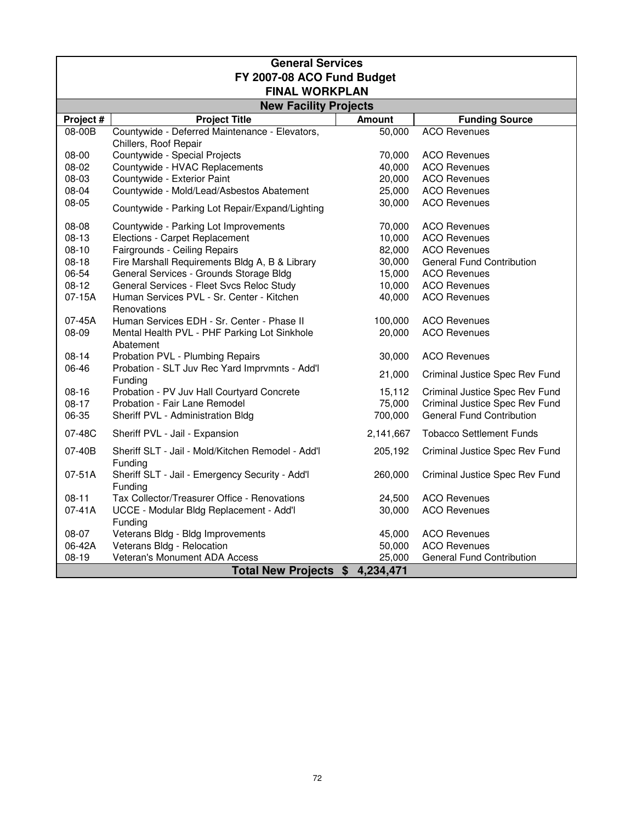| <b>General Services</b><br>FY 2007-08 ACO Fund Budget<br><b>FINAL WORKPLAN</b> |                                                                         |               |                                  |  |  |  |
|--------------------------------------------------------------------------------|-------------------------------------------------------------------------|---------------|----------------------------------|--|--|--|
|                                                                                | <b>New Facility Projects</b>                                            |               |                                  |  |  |  |
| Project #                                                                      | <b>Project Title</b>                                                    | <b>Amount</b> | <b>Funding Source</b>            |  |  |  |
| 08-00B                                                                         | Countywide - Deferred Maintenance - Elevators,<br>Chillers, Roof Repair | 50,000        | <b>ACO Revenues</b>              |  |  |  |
| 08-00                                                                          | Countywide - Special Projects                                           | 70,000        | <b>ACO Revenues</b>              |  |  |  |
| 08-02                                                                          | Countywide - HVAC Replacements                                          | 40,000        | <b>ACO Revenues</b>              |  |  |  |
| 08-03                                                                          | Countywide - Exterior Paint                                             | 20,000        | <b>ACO Revenues</b>              |  |  |  |
| 08-04                                                                          | Countywide - Mold/Lead/Asbestos Abatement                               | 25,000        | <b>ACO Revenues</b>              |  |  |  |
| 08-05                                                                          | Countywide - Parking Lot Repair/Expand/Lighting                         | 30,000        | <b>ACO Revenues</b>              |  |  |  |
| 08-08                                                                          | Countywide - Parking Lot Improvements                                   | 70,000        | <b>ACO Revenues</b>              |  |  |  |
| $08-13$                                                                        | Elections - Carpet Replacement                                          | 10,000        | <b>ACO Revenues</b>              |  |  |  |
| $08 - 10$                                                                      | Fairgrounds - Ceiling Repairs                                           | 82,000        | <b>ACO Revenues</b>              |  |  |  |
| $08 - 18$                                                                      | Fire Marshall Requirements Bldg A, B & Library                          | 30,000        | <b>General Fund Contribution</b> |  |  |  |
| 06-54                                                                          | General Services - Grounds Storage Bldg                                 | 15,000        | <b>ACO Revenues</b>              |  |  |  |
| 08-12                                                                          | General Services - Fleet Svcs Reloc Study                               | 10,000        | <b>ACO Revenues</b>              |  |  |  |
| 07-15A                                                                         | Human Services PVL - Sr. Center - Kitchen<br>Renovations                | 40,000        | <b>ACO Revenues</b>              |  |  |  |
| 07-45A                                                                         | Human Services EDH - Sr. Center - Phase II                              | 100,000       | <b>ACO Revenues</b>              |  |  |  |
| 08-09                                                                          | Mental Health PVL - PHF Parking Lot Sinkhole<br>Abatement               | 20,000        | <b>ACO Revenues</b>              |  |  |  |
| 08-14                                                                          | Probation PVL - Plumbing Repairs                                        | 30,000        | <b>ACO Revenues</b>              |  |  |  |
| 06-46                                                                          | Probation - SLT Juv Rec Yard Imprvmnts - Add'l<br>Funding               | 21,000        | Criminal Justice Spec Rev Fund   |  |  |  |
| $08 - 16$                                                                      | Probation - PV Juv Hall Courtyard Concrete                              | 15,112        | Criminal Justice Spec Rev Fund   |  |  |  |
| $08-17$                                                                        | Probation - Fair Lane Remodel                                           | 75,000        | Criminal Justice Spec Rev Fund   |  |  |  |
| 06-35                                                                          | Sheriff PVL - Administration Bldg                                       | 700,000       | <b>General Fund Contribution</b> |  |  |  |
| 07-48C                                                                         | Sheriff PVL - Jail - Expansion                                          | 2,141,667     | <b>Tobacco Settlement Funds</b>  |  |  |  |
| 07-40B                                                                         | Sheriff SLT - Jail - Mold/Kitchen Remodel - Add'l<br>Funding            | 205,192       | Criminal Justice Spec Rev Fund   |  |  |  |
| 07-51A                                                                         | Sheriff SLT - Jail - Emergency Security - Add'l<br>Funding              | 260,000       | Criminal Justice Spec Rev Fund   |  |  |  |
| $08 - 11$                                                                      | Tax Collector/Treasurer Office - Renovations                            | 24,500        | <b>ACO Revenues</b>              |  |  |  |
| 07-41A                                                                         | UCCE - Modular Bldg Replacement - Add'l                                 | 30,000        | <b>ACO Revenues</b>              |  |  |  |
|                                                                                | Funding                                                                 |               |                                  |  |  |  |
| 08-07                                                                          | Veterans Bldg - Bldg Improvements                                       | 45,000        | <b>ACO Revenues</b>              |  |  |  |
| 06-42A                                                                         | Veterans Bldg - Relocation                                              | 50,000        | <b>ACO Revenues</b>              |  |  |  |
| $08 - 19$                                                                      | Veteran's Monument ADA Access                                           | 25,000        | <b>General Fund Contribution</b> |  |  |  |
|                                                                                | <b>Total New Projects \$</b>                                            | 4,234,471     |                                  |  |  |  |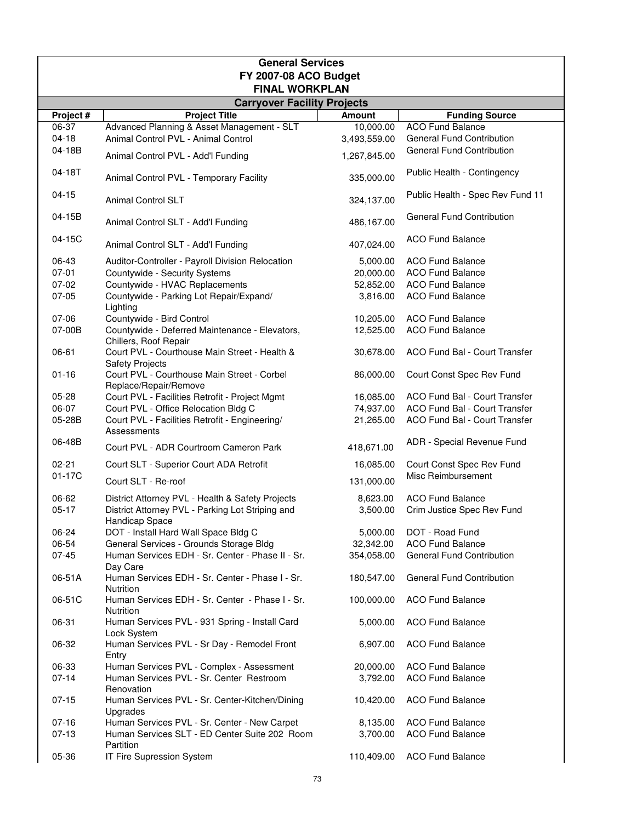| <b>General Services</b><br>FY 2007-08 ACO Budget |                                                                                   |                           |                                                      |  |  |  |  |  |
|--------------------------------------------------|-----------------------------------------------------------------------------------|---------------------------|------------------------------------------------------|--|--|--|--|--|
|                                                  | <b>FINAL WORKPLAN</b>                                                             |                           |                                                      |  |  |  |  |  |
|                                                  | <b>Carryover Facility Projects</b>                                                |                           |                                                      |  |  |  |  |  |
| Project #                                        | <b>Project Title</b>                                                              | <b>Amount</b>             | <b>Funding Source</b>                                |  |  |  |  |  |
| 06-37<br>$04-18$                                 | Advanced Planning & Asset Management - SLT<br>Animal Control PVL - Animal Control | 10,000.00<br>3,493,559.00 | <b>ACO Fund Balance</b><br>General Fund Contribution |  |  |  |  |  |
| 04-18B                                           | Animal Control PVL - Add'l Funding                                                | 1,267,845.00              | General Fund Contribution                            |  |  |  |  |  |
| 04-18T                                           | Animal Control PVL - Temporary Facility                                           | 335,000.00                | Public Health - Contingency                          |  |  |  |  |  |
| $04-15$                                          | <b>Animal Control SLT</b>                                                         | 324,137.00                | Public Health - Spec Rev Fund 11                     |  |  |  |  |  |
| 04-15B                                           | Animal Control SLT - Add'l Funding                                                | 486,167.00                | General Fund Contribution                            |  |  |  |  |  |
| 04-15C                                           | Animal Control SLT - Add'l Funding                                                | 407,024.00                | <b>ACO Fund Balance</b>                              |  |  |  |  |  |
| 06-43                                            | Auditor-Controller - Payroll Division Relocation                                  | 5,000.00                  | <b>ACO Fund Balance</b>                              |  |  |  |  |  |
| $07 - 01$                                        | Countywide - Security Systems                                                     | 20,000.00                 | <b>ACO Fund Balance</b>                              |  |  |  |  |  |
| 07-02                                            | Countywide - HVAC Replacements                                                    | 52,852.00                 | <b>ACO Fund Balance</b>                              |  |  |  |  |  |
| 07-05                                            | Countywide - Parking Lot Repair/Expand/                                           | 3,816.00                  | <b>ACO Fund Balance</b>                              |  |  |  |  |  |
|                                                  | Lighting                                                                          |                           |                                                      |  |  |  |  |  |
| 07-06                                            | Countywide - Bird Control                                                         | 10,205.00                 | <b>ACO Fund Balance</b>                              |  |  |  |  |  |
| 07-00B                                           | Countywide - Deferred Maintenance - Elevators,<br>Chillers, Roof Repair           | 12,525.00                 | <b>ACO Fund Balance</b>                              |  |  |  |  |  |
| 06-61                                            | Court PVL - Courthouse Main Street - Health &<br><b>Safety Projects</b>           | 30,678.00                 | ACO Fund Bal - Court Transfer                        |  |  |  |  |  |
| $01 - 16$                                        | Court PVL - Courthouse Main Street - Corbel<br>Replace/Repair/Remove              | 86,000.00                 | Court Const Spec Rev Fund                            |  |  |  |  |  |
| $05 - 28$                                        | Court PVL - Facilities Retrofit - Project Mgmt                                    | 16,085.00                 | ACO Fund Bal - Court Transfer                        |  |  |  |  |  |
| 06-07                                            | Court PVL - Office Relocation Bldg C                                              | 74,937.00                 | ACO Fund Bal - Court Transfer                        |  |  |  |  |  |
| 05-28B                                           | Court PVL - Facilities Retrofit - Engineering/<br>Assessments                     | 21,265.00                 | ACO Fund Bal - Court Transfer                        |  |  |  |  |  |
| 06-48B                                           | Court PVL - ADR Courtroom Cameron Park                                            | 418,671.00                | ADR - Special Revenue Fund                           |  |  |  |  |  |
| $02 - 21$                                        | Court SLT - Superior Court ADA Retrofit                                           | 16,085.00                 | Court Const Spec Rev Fund                            |  |  |  |  |  |
| 01-17C                                           | Court SLT - Re-roof                                                               | 131,000.00                | Misc Reimbursement                                   |  |  |  |  |  |
| 06-62                                            | District Attorney PVL - Health & Safety Projects                                  | 8,623.00                  | <b>ACO Fund Balance</b>                              |  |  |  |  |  |
| $05-17$                                          | District Attorney PVL - Parking Lot Striping and<br>Handicap Space                | 3,500.00                  | Crim Justice Spec Rev Fund                           |  |  |  |  |  |
| 06-24                                            |                                                                                   |                           |                                                      |  |  |  |  |  |
|                                                  | DOT - Install Hard Wall Space Bldg C                                              | 5,000.00                  | DOT - Road Fund                                      |  |  |  |  |  |
| 06-54                                            | General Services - Grounds Storage Bldg                                           | 32,342.00                 | <b>ACO Fund Balance</b>                              |  |  |  |  |  |
| $07 - 45$                                        | Human Services EDH - Sr. Center - Phase II - Sr.<br>Day Care                      | 354,058.00                | General Fund Contribution                            |  |  |  |  |  |
| 06-51A                                           | Human Services EDH - Sr. Center - Phase I - Sr.<br><b>Nutrition</b>               | 180,547.00                | General Fund Contribution                            |  |  |  |  |  |
| 06-51C                                           | Human Services EDH - Sr. Center - Phase I - Sr.<br>Nutrition                      | 100,000.00                | <b>ACO Fund Balance</b>                              |  |  |  |  |  |
| 06-31                                            | Human Services PVL - 931 Spring - Install Card<br>Lock System                     | 5,000.00                  | <b>ACO Fund Balance</b>                              |  |  |  |  |  |
| 06-32                                            | Human Services PVL - Sr Day - Remodel Front<br>Entry                              | 6,907.00                  | <b>ACO Fund Balance</b>                              |  |  |  |  |  |
| 06-33                                            | Human Services PVL - Complex - Assessment                                         | 20,000.00                 | <b>ACO Fund Balance</b>                              |  |  |  |  |  |
| $07 - 14$                                        | Human Services PVL - Sr. Center Restroom<br>Renovation                            | 3,792.00                  | <b>ACO Fund Balance</b>                              |  |  |  |  |  |
| $07-15$                                          | Human Services PVL - Sr. Center-Kitchen/Dining<br>Upgrades                        | 10,420.00                 | <b>ACO Fund Balance</b>                              |  |  |  |  |  |
| $07-16$                                          | Human Services PVL - Sr. Center - New Carpet                                      | 8,135.00                  | <b>ACO Fund Balance</b>                              |  |  |  |  |  |
| $07-13$                                          | Human Services SLT - ED Center Suite 202 Room                                     | 3,700.00                  | <b>ACO Fund Balance</b>                              |  |  |  |  |  |
|                                                  | Partition                                                                         |                           |                                                      |  |  |  |  |  |
| 05-36                                            | IT Fire Supression System                                                         | 110,409.00                | <b>ACO Fund Balance</b>                              |  |  |  |  |  |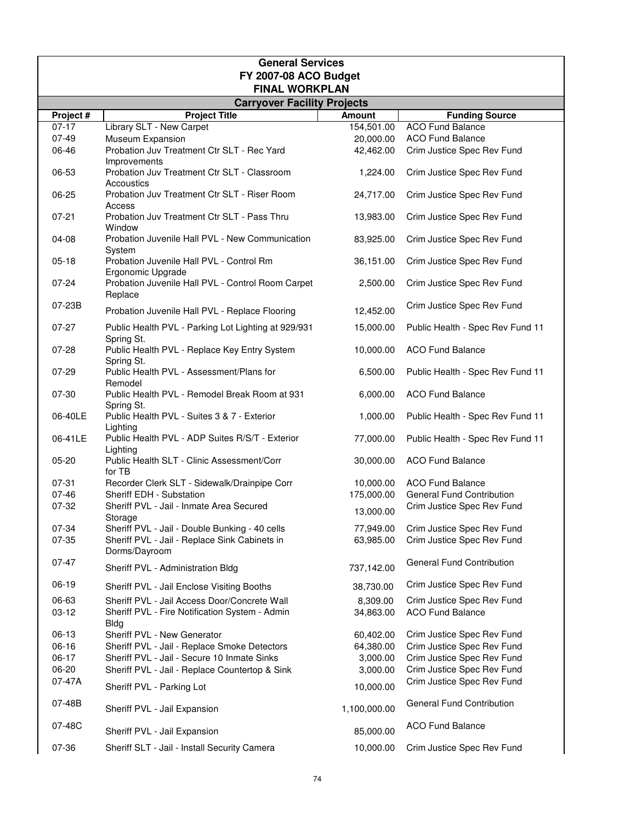| <b>General Services</b><br>FY 2007-08 ACO Budget<br><b>FINAL WORKPLAN</b> |                                                                   |              |                                  |  |  |  |  |
|---------------------------------------------------------------------------|-------------------------------------------------------------------|--------------|----------------------------------|--|--|--|--|
| <b>Carryover Facility Projects</b>                                        |                                                                   |              |                                  |  |  |  |  |
| Project #                                                                 | <b>Funding Source</b><br><b>Project Title</b><br>Amount           |              |                                  |  |  |  |  |
| $07 - 17$                                                                 | Library SLT - New Carpet                                          | 154,501.00   | <b>ACO Fund Balance</b>          |  |  |  |  |
| $07 - 49$                                                                 | Museum Expansion                                                  | 20,000.00    | <b>ACO Fund Balance</b>          |  |  |  |  |
| 06-46                                                                     | Probation Juv Treatment Ctr SLT - Rec Yard<br>Improvements        | 42,462.00    | Crim Justice Spec Rev Fund       |  |  |  |  |
| 06-53                                                                     | Probation Juv Treatment Ctr SLT - Classroom<br>Accoustics         | 1,224.00     | Crim Justice Spec Rev Fund       |  |  |  |  |
| 06-25                                                                     | Probation Juv Treatment Ctr SLT - Riser Room<br>Access            | 24,717.00    | Crim Justice Spec Rev Fund       |  |  |  |  |
| $07 - 21$                                                                 | Probation Juv Treatment Ctr SLT - Pass Thru<br>Window             | 13,983.00    | Crim Justice Spec Rev Fund       |  |  |  |  |
| 04-08                                                                     | Probation Juvenile Hall PVL - New Communication<br>System         | 83,925.00    | Crim Justice Spec Rev Fund       |  |  |  |  |
| $05 - 18$                                                                 | Probation Juvenile Hall PVL - Control Rm<br>Ergonomic Upgrade     | 36,151.00    | Crim Justice Spec Rev Fund       |  |  |  |  |
| 07-24                                                                     | Probation Juvenile Hall PVL - Control Room Carpet<br>Replace      | 2,500.00     | Crim Justice Spec Rev Fund       |  |  |  |  |
| 07-23B                                                                    | Probation Juvenile Hall PVL - Replace Flooring                    | 12,452.00    | Crim Justice Spec Rev Fund       |  |  |  |  |
| $07 - 27$                                                                 | Public Health PVL - Parking Lot Lighting at 929/931<br>Spring St. | 15,000.00    | Public Health - Spec Rev Fund 11 |  |  |  |  |
| 07-28                                                                     | Public Health PVL - Replace Key Entry System<br>Spring St.        | 10,000.00    | <b>ACO Fund Balance</b>          |  |  |  |  |
| 07-29                                                                     | Public Health PVL - Assessment/Plans for<br>Remodel               | 6,500.00     | Public Health - Spec Rev Fund 11 |  |  |  |  |
| 07-30                                                                     | Public Health PVL - Remodel Break Room at 931<br>Spring St.       | 6,000.00     | <b>ACO Fund Balance</b>          |  |  |  |  |
| 06-40LE                                                                   | Public Health PVL - Suites 3 & 7 - Exterior<br>Lighting           | 1,000.00     | Public Health - Spec Rev Fund 11 |  |  |  |  |
| 06-41LE                                                                   | Public Health PVL - ADP Suites R/S/T - Exterior<br>Lighting       | 77,000.00    | Public Health - Spec Rev Fund 11 |  |  |  |  |
| 05-20                                                                     | Public Health SLT - Clinic Assessment/Corr<br>for TB              | 30,000.00    | <b>ACO Fund Balance</b>          |  |  |  |  |
| 07-31                                                                     | Recorder Clerk SLT - Sidewalk/Drainpipe Corr                      | 10,000.00    | <b>ACO Fund Balance</b>          |  |  |  |  |
| $07 - 46$                                                                 | Sheriff EDH - Substation                                          | 175,000.00   | <b>General Fund Contribution</b> |  |  |  |  |
| 07-32                                                                     | Sheriff PVL - Jail - Inmate Area Secured<br>Storage               | 13,000.00    | Crim Justice Spec Rev Fund       |  |  |  |  |
| 07-34                                                                     | Sheriff PVL - Jail - Double Bunking - 40 cells                    | 77,949.00    | Crim Justice Spec Rev Fund       |  |  |  |  |
| 07-35                                                                     | Sheriff PVL - Jail - Replace Sink Cabinets in<br>Dorms/Dayroom    | 63,985.00    | Crim Justice Spec Rev Fund       |  |  |  |  |
| $07 - 47$                                                                 | Sheriff PVL - Administration Bldg                                 | 737,142.00   | <b>General Fund Contribution</b> |  |  |  |  |
| 06-19                                                                     | Sheriff PVL - Jail Enclose Visiting Booths                        | 38,730.00    | Crim Justice Spec Rev Fund       |  |  |  |  |
| 06-63                                                                     | Sheriff PVL - Jail Access Door/Concrete Wall                      | 8,309.00     | Crim Justice Spec Rev Fund       |  |  |  |  |
| $03-12$                                                                   | Sheriff PVL - Fire Notification System - Admin<br><b>Bldg</b>     | 34,863.00    | <b>ACO Fund Balance</b>          |  |  |  |  |
| 06-13                                                                     | Sheriff PVL - New Generator                                       | 60,402.00    | Crim Justice Spec Rev Fund       |  |  |  |  |
| 06-16                                                                     | Sheriff PVL - Jail - Replace Smoke Detectors                      | 64,380.00    | Crim Justice Spec Rev Fund       |  |  |  |  |
| 06-17                                                                     | Sheriff PVL - Jail - Secure 10 Inmate Sinks                       | 3,000.00     | Crim Justice Spec Rev Fund       |  |  |  |  |
| 06-20                                                                     | Sheriff PVL - Jail - Replace Countertop & Sink                    | 3,000.00     | Crim Justice Spec Rev Fund       |  |  |  |  |
| 07-47A                                                                    | Sheriff PVL - Parking Lot                                         | 10,000.00    | Crim Justice Spec Rev Fund       |  |  |  |  |
| 07-48B                                                                    | Sheriff PVL - Jail Expansion                                      | 1,100,000.00 | General Fund Contribution        |  |  |  |  |
| 07-48C                                                                    | Sheriff PVL - Jail Expansion                                      | 85,000.00    | <b>ACO Fund Balance</b>          |  |  |  |  |
| 07-36                                                                     | Sheriff SLT - Jail - Install Security Camera                      | 10,000.00    | Crim Justice Spec Rev Fund       |  |  |  |  |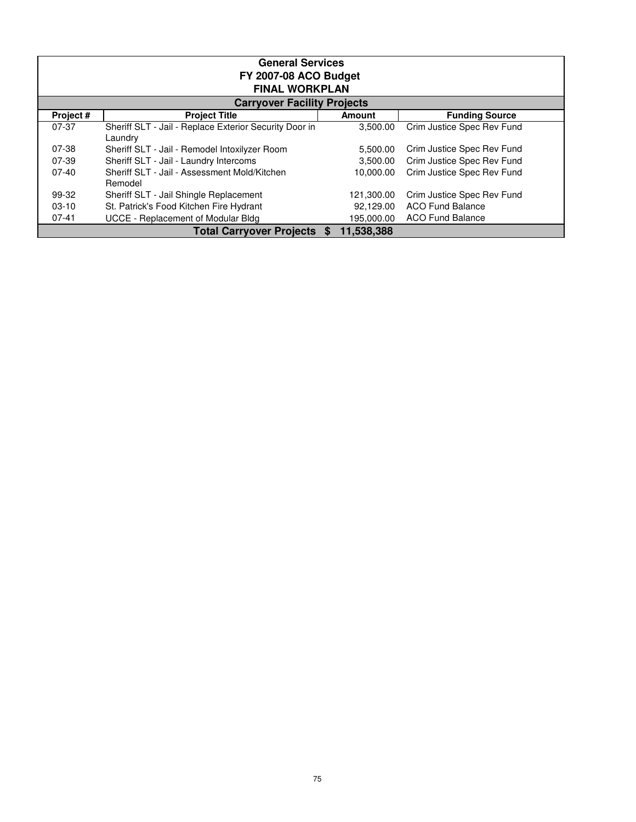| <b>General Services</b><br>FY 2007-08 ACO Budget<br><b>FINAL WORKPLAN</b><br><b>Carryover Facility Projects</b> |                                                                   |                    |                            |  |  |  |
|-----------------------------------------------------------------------------------------------------------------|-------------------------------------------------------------------|--------------------|----------------------------|--|--|--|
| Project#                                                                                                        | <b>Project Title</b>                                              | Amount             | <b>Funding Source</b>      |  |  |  |
| 07-37                                                                                                           | Sheriff SLT - Jail - Replace Exterior Security Door in<br>Laundry | 3,500.00           | Crim Justice Spec Rev Fund |  |  |  |
| 07-38                                                                                                           | Sheriff SLT - Jail - Remodel Intoxilyzer Room                     | 5,500.00           | Crim Justice Spec Rev Fund |  |  |  |
| 07-39                                                                                                           | Sheriff SLT - Jail - Laundry Intercoms                            | 3,500.00           | Crim Justice Spec Rev Fund |  |  |  |
| $07-40$                                                                                                         | Sheriff SLT - Jail - Assessment Mold/Kitchen<br>Remodel           | 10.000.00          | Crim Justice Spec Rev Fund |  |  |  |
| 99-32                                                                                                           | Sheriff SLT - Jail Shingle Replacement                            | 121,300.00         | Crim Justice Spec Rev Fund |  |  |  |
| $03-10$                                                                                                         | St. Patrick's Food Kitchen Fire Hydrant                           | 92,129.00          | <b>ACO Fund Balance</b>    |  |  |  |
| $07 - 41$                                                                                                       | UCCE - Replacement of Modular Bldg                                | 195,000.00         | <b>ACO Fund Balance</b>    |  |  |  |
|                                                                                                                 | <b>Total Carryover Projects</b>                                   | 11,538,388<br>- \$ |                            |  |  |  |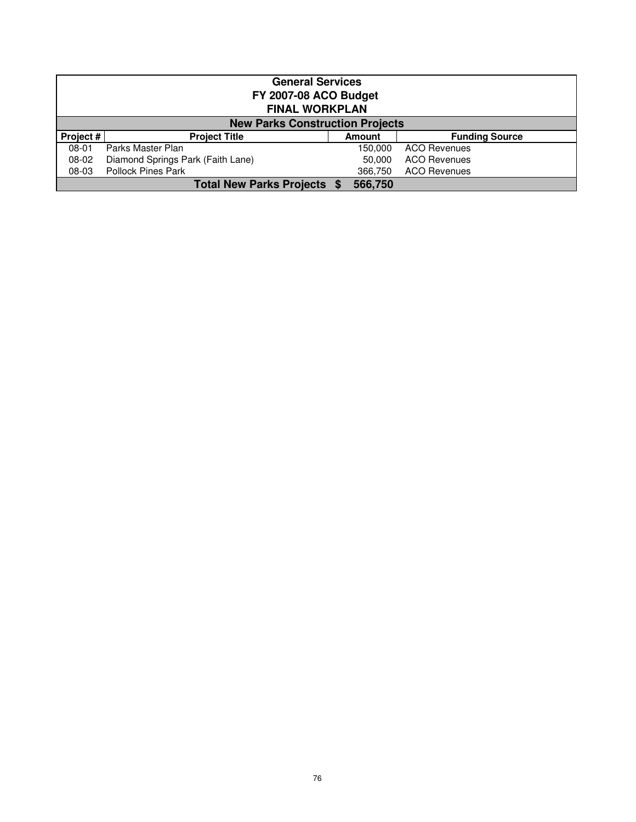| <b>General Services</b><br>FY 2007-08 ACO Budget<br><b>FINAL WORKPLAN</b>   |                                                                      |  |         |                     |  |  |  |
|-----------------------------------------------------------------------------|----------------------------------------------------------------------|--|---------|---------------------|--|--|--|
|                                                                             | <b>New Parks Construction Projects</b>                               |  |         |                     |  |  |  |
|                                                                             | Project #<br><b>Project Title</b><br><b>Funding Source</b><br>Amount |  |         |                     |  |  |  |
| $08 - 01$                                                                   | Parks Master Plan                                                    |  | 150.000 | <b>ACO Revenues</b> |  |  |  |
| Diamond Springs Park (Faith Lane)<br><b>ACO Revenues</b><br>08-02<br>50.000 |                                                                      |  |         |                     |  |  |  |
| 08-03                                                                       | <b>Pollock Pines Park</b><br><b>ACO Revenues</b><br>366,750          |  |         |                     |  |  |  |
|                                                                             | Total New Parks Projects \$<br>566,750                               |  |         |                     |  |  |  |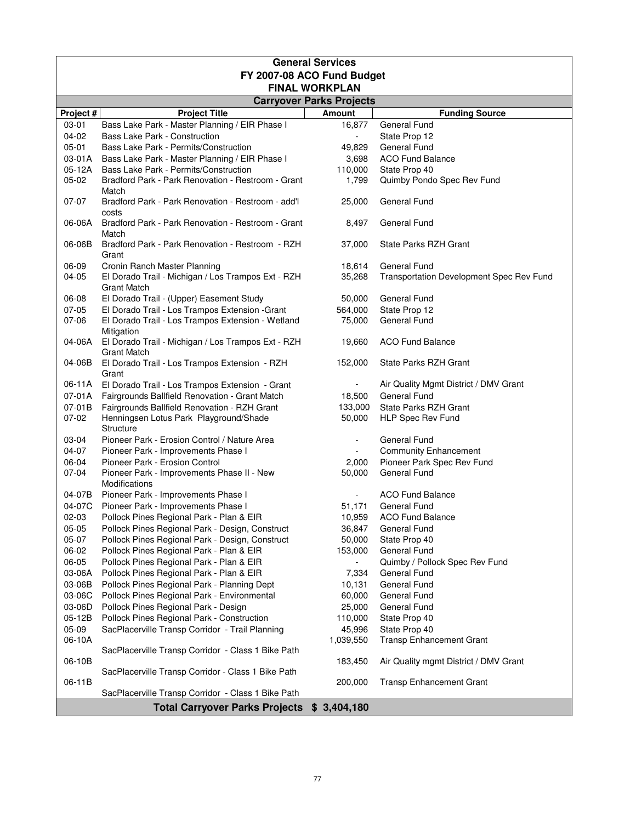|           | <b>General Services</b>                                                  |                          |                                          |  |  |  |  |
|-----------|--------------------------------------------------------------------------|--------------------------|------------------------------------------|--|--|--|--|
|           | FY 2007-08 ACO Fund Budget                                               |                          |                                          |  |  |  |  |
|           | <b>FINAL WORKPLAN</b>                                                    |                          |                                          |  |  |  |  |
|           | <b>Carryover Parks Projects</b>                                          |                          |                                          |  |  |  |  |
| Project # | <b>Project Title</b>                                                     | Amount                   | <b>Funding Source</b>                    |  |  |  |  |
| 03-01     | Bass Lake Park - Master Planning / EIR Phase I                           | 16,877                   | General Fund                             |  |  |  |  |
| 04-02     | <b>Bass Lake Park - Construction</b>                                     | $\blacksquare$           | State Prop 12                            |  |  |  |  |
| $05 - 01$ | Bass Lake Park - Permits/Construction                                    | 49,829                   | <b>General Fund</b>                      |  |  |  |  |
| 03-01A    | Bass Lake Park - Master Planning / EIR Phase I                           | 3,698                    | <b>ACO Fund Balance</b>                  |  |  |  |  |
| 05-12A    | Bass Lake Park - Permits/Construction                                    | 110,000                  | State Prop 40                            |  |  |  |  |
| $05 - 02$ | Bradford Park - Park Renovation - Restroom - Grant<br>Match              | 1,799                    | Quimby Pondo Spec Rev Fund               |  |  |  |  |
| $07-07$   | Bradford Park - Park Renovation - Restroom - add'l<br>costs              | 25,000                   | General Fund                             |  |  |  |  |
| 06-06A    | Bradford Park - Park Renovation - Restroom - Grant<br>Match              | 8,497                    | General Fund                             |  |  |  |  |
| 06-06B    | Bradford Park - Park Renovation - Restroom - RZH<br>Grant                | 37,000                   | State Parks RZH Grant                    |  |  |  |  |
| 06-09     | Cronin Ranch Master Planning                                             | 18,614                   | <b>General Fund</b>                      |  |  |  |  |
| 04-05     | El Dorado Trail - Michigan / Los Trampos Ext - RZH                       | 35,268                   | Transportation Development Spec Rev Fund |  |  |  |  |
|           | <b>Grant Match</b>                                                       |                          |                                          |  |  |  |  |
| 06-08     | El Dorado Trail - (Upper) Easement Study                                 | 50,000                   | General Fund                             |  |  |  |  |
| $07 - 05$ | El Dorado Trail - Los Trampos Extension - Grant                          | 564,000                  | State Prop 12                            |  |  |  |  |
| 07-06     | El Dorado Trail - Los Trampos Extension - Wetland<br>Mitigation          | 75,000                   | General Fund                             |  |  |  |  |
| 04-06A    | El Dorado Trail - Michigan / Los Trampos Ext - RZH<br><b>Grant Match</b> | 19,660                   | <b>ACO Fund Balance</b>                  |  |  |  |  |
| 04-06B    | El Dorado Trail - Los Trampos Extension - RZH<br>Grant                   | 152,000                  | State Parks RZH Grant                    |  |  |  |  |
| 06-11A    | El Dorado Trail - Los Trampos Extension - Grant                          |                          | Air Quality Mgmt District / DMV Grant    |  |  |  |  |
| 07-01A    | Fairgrounds Ballfield Renovation - Grant Match                           | 18,500                   | <b>General Fund</b>                      |  |  |  |  |
| 07-01B    | Fairgrounds Ballfield Renovation - RZH Grant                             | 133,000                  | State Parks RZH Grant                    |  |  |  |  |
| 07-02     | Henningsen Lotus Park Playground/Shade                                   | 50,000                   | HLP Spec Rev Fund                        |  |  |  |  |
|           | <b>Structure</b>                                                         |                          |                                          |  |  |  |  |
| 03-04     | Pioneer Park - Erosion Control / Nature Area                             |                          | General Fund                             |  |  |  |  |
| 04-07     | Pioneer Park - Improvements Phase I                                      | $\overline{\phantom{a}}$ | <b>Community Enhancement</b>             |  |  |  |  |
| 06-04     | Pioneer Park - Erosion Control                                           | 2.000                    | Pioneer Park Spec Rev Fund               |  |  |  |  |
| 07-04     | Pioneer Park - Improvements Phase II - New<br>Modifications              | 50,000                   | General Fund                             |  |  |  |  |
| 04-07B    | Pioneer Park - Improvements Phase I                                      | $\overline{\phantom{a}}$ | <b>ACO Fund Balance</b>                  |  |  |  |  |
| 04-07C    | Pioneer Park - Improvements Phase I                                      | 51,171                   | General Fund                             |  |  |  |  |
| 02-03     | Pollock Pines Regional Park - Plan & EIR                                 | 10,959                   | <b>ACO Fund Balance</b>                  |  |  |  |  |
| $05 - 05$ | Pollock Pines Regional Park - Design, Construct                          | 36,847                   | General Fund                             |  |  |  |  |
| 05-07     | Pollock Pines Regional Park - Design, Construct                          | 50,000                   | State Prop 40                            |  |  |  |  |
| 06-02     | Pollock Pines Regional Park - Plan & EIR                                 | 153,000                  | General Fund                             |  |  |  |  |
| 06-05     | Pollock Pines Regional Park - Plan & EIR                                 |                          | Quimby / Pollock Spec Rev Fund           |  |  |  |  |
| 03-06A    | Pollock Pines Regional Park - Plan & EIR                                 | 7,334                    | General Fund                             |  |  |  |  |
| 03-06B    | Pollock Pines Regional Park - Planning Dept                              | 10,131                   | General Fund                             |  |  |  |  |
| 03-06C    | Pollock Pines Regional Park - Environmental                              | 60,000                   | General Fund                             |  |  |  |  |
| 03-06D    | Pollock Pines Regional Park - Design                                     | 25,000                   | General Fund                             |  |  |  |  |
|           |                                                                          |                          |                                          |  |  |  |  |
| 05-12B    | Pollock Pines Regional Park - Construction                               | 110,000                  | State Prop 40                            |  |  |  |  |
| 05-09     | SacPlacerville Transp Corridor - Trail Planning                          | 45,996                   | State Prop 40                            |  |  |  |  |
| 06-10A    |                                                                          | 1,039,550                | Transp Enhancement Grant                 |  |  |  |  |
|           | SacPlacerville Transp Corridor - Class 1 Bike Path                       |                          |                                          |  |  |  |  |
| 06-10B    |                                                                          | 183,450                  | Air Quality mgmt District / DMV Grant    |  |  |  |  |
| 06-11B    | SacPlacerville Transp Corridor - Class 1 Bike Path                       | 200,000                  | <b>Transp Enhancement Grant</b>          |  |  |  |  |
|           | SacPlacerville Transp Corridor - Class 1 Bike Path                       |                          |                                          |  |  |  |  |
|           | Total Carryover Parks Projects \$ 3,404,180                              |                          |                                          |  |  |  |  |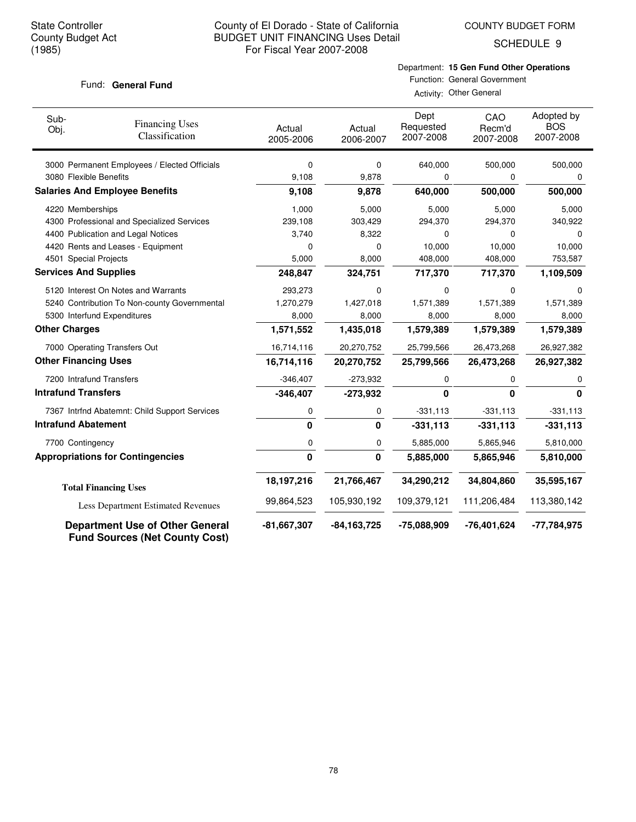COUNTY BUDGET FORM

SCHEDULE 9

## Fund: General Fund

### Department: **15 Gen Fund Other Operations** Function: General Government

Activity: Other General

| Sub-<br>Obj.                 | <b>Financing Uses</b><br>Classification                                         | Actual<br>2005-2006 | Actual<br>2006-2007 | Dept<br>Requested<br>2007-2008 | CAO<br>Recm'd<br>2007-2008 | Adopted by<br><b>BOS</b><br>2007-2008 |
|------------------------------|---------------------------------------------------------------------------------|---------------------|---------------------|--------------------------------|----------------------------|---------------------------------------|
|                              | 3000 Permanent Employees / Elected Officials                                    | 0                   | 0                   | 640,000                        | 500,000                    | 500,000                               |
|                              | 3080 Flexible Benefits                                                          |                     | 9,878               | 0                              | 0                          | $\Omega$                              |
|                              | <b>Salaries And Employee Benefits</b>                                           | 9,108               | 9,878               | 640,000                        | 500,000                    | 500,000                               |
| 4220 Memberships             |                                                                                 | 1,000               | 5,000               | 5,000                          | 5,000                      | 5,000                                 |
|                              | 4300 Professional and Specialized Services                                      | 239,108             | 303,429             | 294,370                        | 294,370                    | 340,922                               |
|                              | 4400 Publication and Legal Notices                                              | 3,740               | 8,322               | 0                              | 0                          | 0                                     |
|                              | 4420 Rents and Leases - Equipment                                               | 0                   | 0                   | 10,000                         | 10,000                     | 10,000                                |
| 4501 Special Projects        |                                                                                 | 5,000               | 8,000               | 408,000                        | 408,000                    | 753,587                               |
| <b>Services And Supplies</b> |                                                                                 | 248,847             | 324,751             | 717,370                        | 717,370                    | 1,109,509                             |
|                              | 5120 Interest On Notes and Warrants                                             | 293,273             | 0                   | 0                              | 0                          | 0                                     |
|                              | 5240 Contribution To Non-county Governmental                                    | 1,270,279           | 1,427,018           | 1,571,389                      | 1,571,389                  | 1,571,389                             |
|                              | 5300 Interfund Expenditures                                                     | 8,000               | 8,000               | 8,000                          | 8,000                      | 8,000                                 |
| <b>Other Charges</b>         |                                                                                 | 1,571,552           | 1,435,018           | 1,579,389                      | 1,579,389                  | 1,579,389                             |
|                              | 7000 Operating Transfers Out                                                    | 16,714,116          | 20,270,752          | 25,799,566                     | 26,473,268                 | 26,927,382                            |
| <b>Other Financing Uses</b>  |                                                                                 | 16,714,116          | 20,270,752          | 25,799,566                     | 26,473,268                 | 26,927,382                            |
| 7200 Intrafund Transfers     |                                                                                 | $-346,407$          | $-273,932$          | 0                              | 0                          | 0                                     |
| <b>Intrafund Transfers</b>   |                                                                                 | $-346,407$          | $-273,932$          | $\mathbf{0}$                   | $\bf{0}$                   | $\mathbf{0}$                          |
|                              | 7367 Intrfnd Abatemnt: Child Support Services                                   | 0                   | 0                   | $-331,113$                     | $-331,113$                 | $-331,113$                            |
| <b>Intrafund Abatement</b>   |                                                                                 | 0                   | 0                   | $-331,113$                     | $-331,113$                 | $-331,113$                            |
| 7700 Contingency             |                                                                                 | 0                   | 0                   | 5,885,000                      | 5,865,946                  | 5,810,000                             |
|                              | <b>Appropriations for Contingencies</b>                                         | 0                   | 0                   | 5,885,000                      | 5,865,946                  | 5,810,000                             |
|                              | <b>Total Financing Uses</b>                                                     | 18,197,216          | 21,766,467          | 34,290,212                     | 34,804,860                 | 35,595,167                            |
|                              | Less Department Estimated Revenues                                              | 99,864,523          | 105,930,192         | 109,379,121                    | 111,206,484                | 113,380,142                           |
|                              | <b>Department Use of Other General</b><br><b>Fund Sources (Net County Cost)</b> | $-81,667,307$       | $-84,163,725$       | -75,088,909                    | $-76,401,624$              | -77,784,975                           |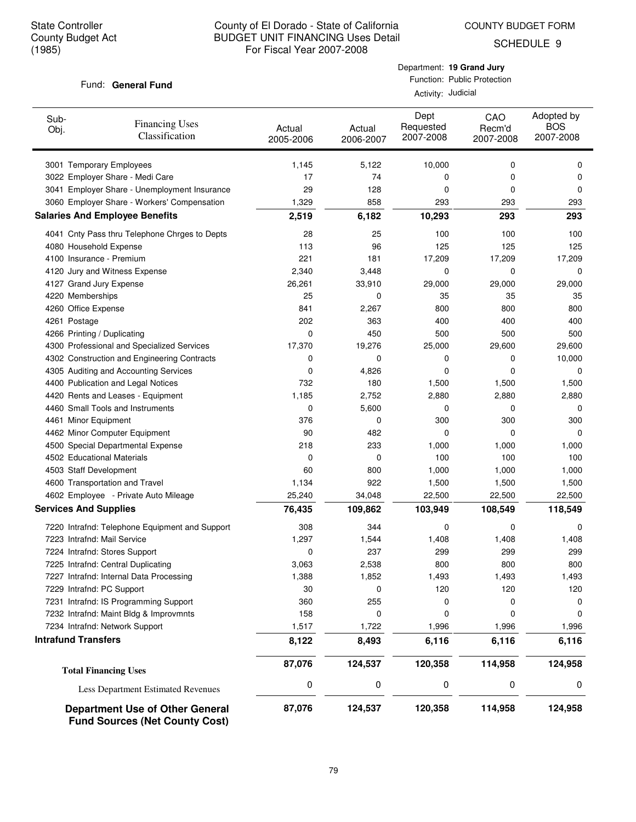COUNTY BUDGET FORM

SCHEDULE 9

#### Fund: General Fund

Department: **19 Grand Jury** Function: Public Protection

| ---------- |                    |
|------------|--------------------|
|            | Activity: Judicial |

| Sub-<br>Obj. | <b>Financing Uses</b><br>Classification                                         | Actual<br>2005-2006 | Actual<br>2006-2007 | Dept<br>Requested<br>2007-2008 | CAO<br>Recm'd<br>2007-2008 | Adopted by<br><b>BOS</b><br>2007-2008 |
|--------------|---------------------------------------------------------------------------------|---------------------|---------------------|--------------------------------|----------------------------|---------------------------------------|
|              | 3001 Temporary Employees                                                        | 1,145               | 5,122               | 10,000                         | 0                          | 0                                     |
|              | 3022 Employer Share - Medi Care                                                 | 17                  | 74                  | 0                              | 0                          | 0                                     |
|              | 3041 Employer Share - Unemployment Insurance                                    | 29                  | 128                 | 0                              | 0                          | 0                                     |
|              | 3060 Employer Share - Workers' Compensation                                     | 1,329               | 858                 | 293                            | 293                        | 293                                   |
|              | <b>Salaries And Employee Benefits</b>                                           | 2,519               | 6,182               | 10,293                         | 293                        | 293                                   |
|              | 4041 Cnty Pass thru Telephone Chrges to Depts                                   | 28                  | 25                  | 100                            | 100                        | 100                                   |
|              | 4080 Household Expense                                                          | 113                 | 96                  | 125                            | 125                        | 125                                   |
|              | 4100 Insurance - Premium                                                        | 221                 | 181                 | 17,209                         | 17,209                     | 17,209                                |
|              | 4120 Jury and Witness Expense                                                   | 2,340               | 3,448               | 0                              | 0                          | 0                                     |
|              | 4127 Grand Jury Expense                                                         | 26,261              | 33,910              | 29,000                         | 29,000                     | 29,000                                |
|              | 4220 Memberships                                                                | 25                  | 0                   | 35                             | 35                         | 35                                    |
|              | 4260 Office Expense                                                             | 841                 | 2,267               | 800                            | 800                        | 800                                   |
|              | 4261 Postage                                                                    | 202                 | 363                 | 400                            | 400                        | 400                                   |
|              | 4266 Printing / Duplicating                                                     | 0                   | 450                 | 500                            | 500                        | 500                                   |
|              | 4300 Professional and Specialized Services                                      | 17,370              | 19,276              | 25,000                         | 29,600                     | 29,600                                |
|              | 4302 Construction and Engineering Contracts                                     | 0                   | 0                   | 0                              | 0                          | 10,000                                |
|              | 4305 Auditing and Accounting Services                                           | 0                   | 4,826               | 0                              | 0                          | 0                                     |
|              | 4400 Publication and Legal Notices                                              | 732                 | 180                 | 1,500                          | 1,500                      | 1,500                                 |
|              | 4420 Rents and Leases - Equipment                                               | 1,185               | 2,752               | 2,880                          | 2,880                      | 2,880                                 |
|              | 4460 Small Tools and Instruments                                                | 0                   | 5,600               | 0                              | 0                          | 0                                     |
|              | 4461 Minor Equipment                                                            | 376                 | 0                   | 300                            | 300                        | 300                                   |
|              | 4462 Minor Computer Equipment                                                   | 90                  | 482                 | 0                              | 0                          | 0                                     |
|              | 4500 Special Departmental Expense                                               | 218                 | 233                 | 1,000                          | 1,000                      | 1,000                                 |
|              | 4502 Educational Materials                                                      | 0                   | 0                   | 100                            | 100                        | 100                                   |
|              | 4503 Staff Development                                                          | 60                  | 800                 | 1,000                          | 1,000                      | 1,000                                 |
|              | 4600 Transportation and Travel                                                  | 1,134               | 922                 | 1,500                          | 1,500                      | 1,500                                 |
|              | 4602 Employee - Private Auto Mileage                                            | 25,240              | 34,048              | 22,500                         | 22,500                     | 22,500                                |
|              | <b>Services And Supplies</b>                                                    | 76,435              | 109,862             | 103,949                        | 108,549                    | 118,549                               |
|              | 7220 Intrafnd: Telephone Equipment and Support                                  | 308                 | 344                 | 0                              | 0                          | 0                                     |
|              | 7223 Intrafnd: Mail Service                                                     | 1,297               | 1,544               | 1,408                          | 1,408                      | 1,408                                 |
|              | 7224 Intrafnd: Stores Support                                                   | 0                   | 237                 | 299                            | 299                        | 299                                   |
|              | 7225 Intrafnd: Central Duplicating                                              | 3,063               | 2,538               | 800                            | 800                        | 800                                   |
|              | 7227 Intrafnd: Internal Data Processing                                         | 1,388               | 1,852               | 1,493                          | 1,493                      | 1,493                                 |
|              | 7229 Intrafnd: PC Support                                                       | 30                  | 0                   | 120                            | 120                        | 120                                   |
|              | 7231 Intrafnd: IS Programming Support                                           | 360                 | 255                 | 0                              | 0                          | 0                                     |
|              | 7232 Intrafnd: Maint Bldg & Improvmnts                                          | 158                 | 0                   | 0                              | 0                          | 0                                     |
|              | 7234 Intrafnd: Network Support                                                  | 1,517               | 1,722               | 1,996                          | 1,996                      | 1,996                                 |
|              | <b>Intrafund Transfers</b>                                                      | 8,122               | 8,493               | 6,116                          | 6,116                      | 6,116                                 |
|              | <b>Total Financing Uses</b>                                                     | 87,076              | 124,537             | 120,358                        | 114,958                    | 124,958                               |
|              | Less Department Estimated Revenues                                              | 0                   | 0                   | 0                              | 0                          | 0                                     |
|              | <b>Department Use of Other General</b><br><b>Fund Sources (Net County Cost)</b> | 87,076              | 124,537             | 120,358                        | 114,958                    | 124,958                               |